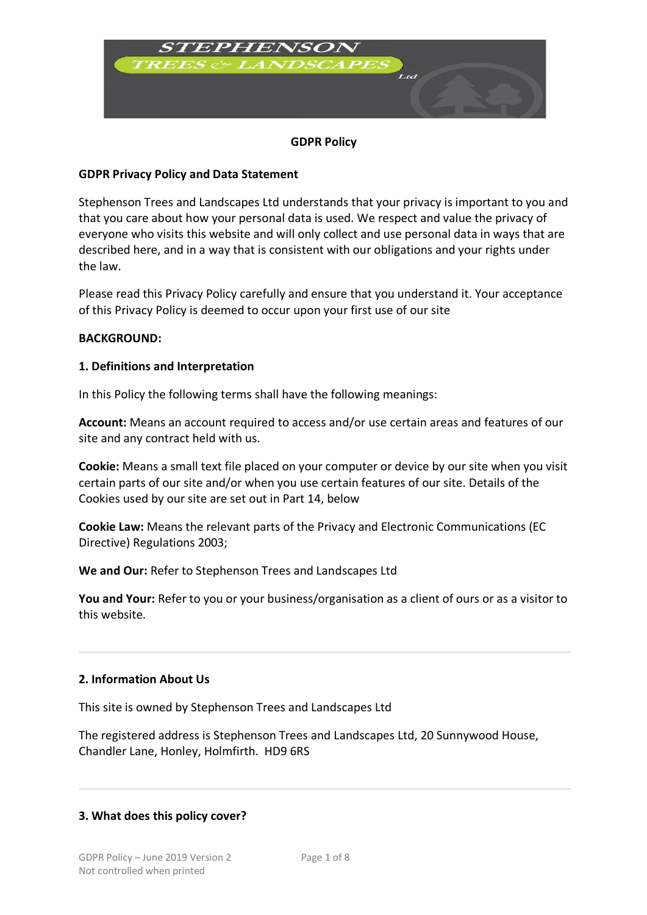

# **GDPR Policy**

#### **GDPR Privacy Policy and Data Statement**

Stephenson Trees and Landscapes Ltd understands that your privacy is important to you and that you care about how your personal data is used. We respect and value the privacy of everyone who visits this website and will only collect and use personal data in ways that are described here, and in a way that is consistent with our obligations and your rights under the law.

Please read this Privacy Policy carefully and ensure that you understand it. Your acceptance of this Privacy Policy is deemed to occur upon your first use of our site

#### **BACKGROUND:**

### **1. Definitions and Interpretation**

In this Policy the following terms shall have the following meanings:

**Account:** Means an account required to access and/or use certain areas and features of our site and any contract held with us.

**Cookie:** Means a small text file placed on your computer or device by our site when you visit certain parts of our site and/or when you use certain features of our site. Details of the Cookies used by our site are set out in Part 14, below

**Cookie Law:** Means the relevant parts of the Privacy and Electronic Communications (EC Directive) Regulations 2003;

**We and Our:** Refer to Stephenson Trees and Landscapes Ltd

**You and Your:** Refer to you or your business/organisation as a client of ours or as a visitor to this website.

#### **2. Information About Us**

This site is owned by Stephenson Trees and Landscapes Ltd

The registered address is Stephenson Trees and Landscapes Ltd, 20 Sunnywood House, Chandler Lane, Honley, Holmfirth. HD9 6RS

# **3. What does this policy cover?**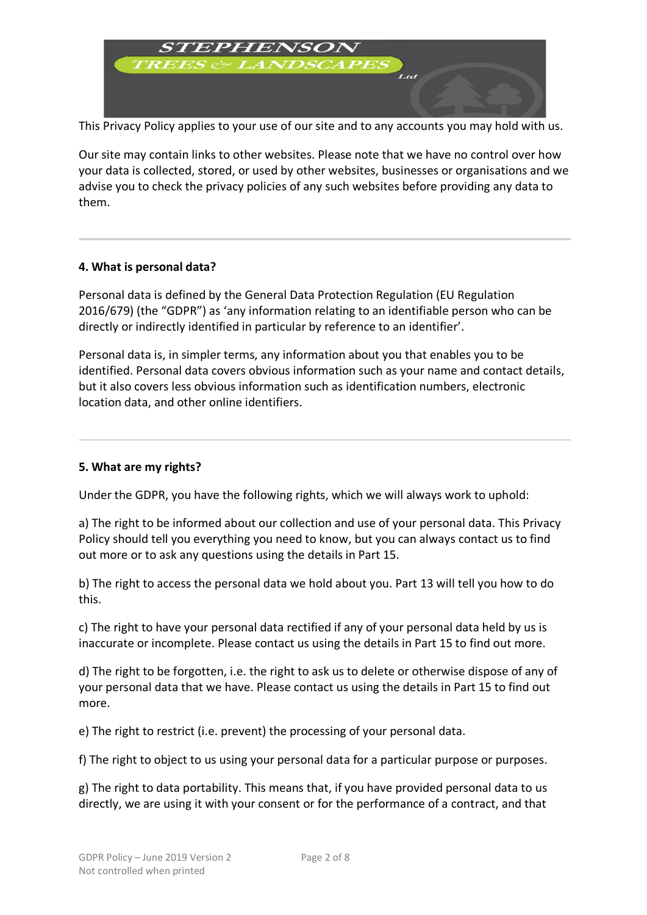

This Privacy Policy applies to your use of our site and to any accounts you may hold with us.

Our site may contain links to other websites. Please note that we have no control over how your data is collected, stored, or used by other websites, businesses or organisations and we advise you to check the privacy policies of any such websites before providing any data to them.

# **4. What is personal data?**

Personal data is defined by the General Data Protection Regulation (EU Regulation 2016/679) (the "GDPR") as 'any information relating to an identifiable person who can be directly or indirectly identified in particular by reference to an identifier'.

Personal data is, in simpler terms, any information about you that enables you to be identified. Personal data covers obvious information such as your name and contact details, but it also covers less obvious information such as identification numbers, electronic location data, and other online identifiers.

#### **5. What are my rights?**

Under the GDPR, you have the following rights, which we will always work to uphold:

a) The right to be informed about our collection and use of your personal data. This Privacy Policy should tell you everything you need to know, but you can always contact us to find out more or to ask any questions using the details in Part 15.

b) The right to access the personal data we hold about you. Part 13 will tell you how to do this.

c) The right to have your personal data rectified if any of your personal data held by us is inaccurate or incomplete. Please contact us using the details in Part 15 to find out more.

d) The right to be forgotten, i.e. the right to ask us to delete or otherwise dispose of any of your personal data that we have. Please contact us using the details in Part 15 to find out more.

e) The right to restrict (i.e. prevent) the processing of your personal data.

f) The right to object to us using your personal data for a particular purpose or purposes.

g) The right to data portability. This means that, if you have provided personal data to us directly, we are using it with your consent or for the performance of a contract, and that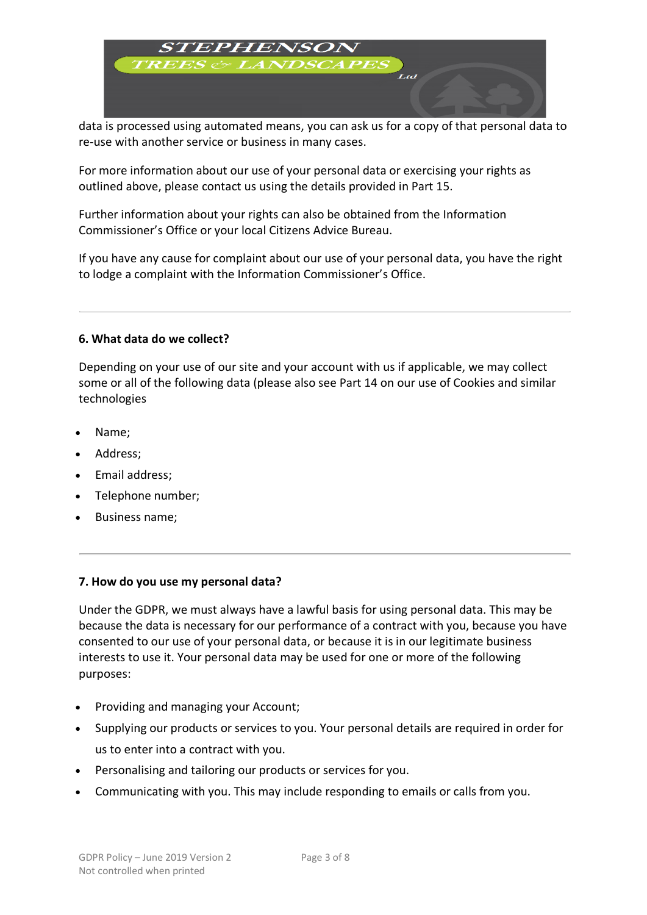

data is processed using automated means, you can ask us for a copy of that personal data to re-use with another service or business in many cases.

For more information about our use of your personal data or exercising your rights as outlined above, please contact us using the details provided in Part 15.

Further information about your rights can also be obtained from the Information Commissioner's Office or your local Citizens Advice Bureau.

If you have any cause for complaint about our use of your personal data, you have the right to lodge a complaint with the Information Commissioner's Office.

### **6. What data do we collect?**

Depending on your use of our site and your account with us if applicable, we may collect some or all of the following data (please also see Part 14 on our use of Cookies and similar technologies

- Name;
- Address;
- Email address;
- Telephone number;
- Business name;

#### **7. How do you use my personal data?**

Under the GDPR, we must always have a lawful basis for using personal data. This may be because the data is necessary for our performance of a contract with you, because you have consented to our use of your personal data, or because it is in our legitimate business interests to use it. Your personal data may be used for one or more of the following purposes:

- Providing and managing your Account;
- Supplying our products or services to you. Your personal details are required in order for us to enter into a contract with you.
- Personalising and tailoring our products or services for you.
- Communicating with you. This may include responding to emails or calls from you.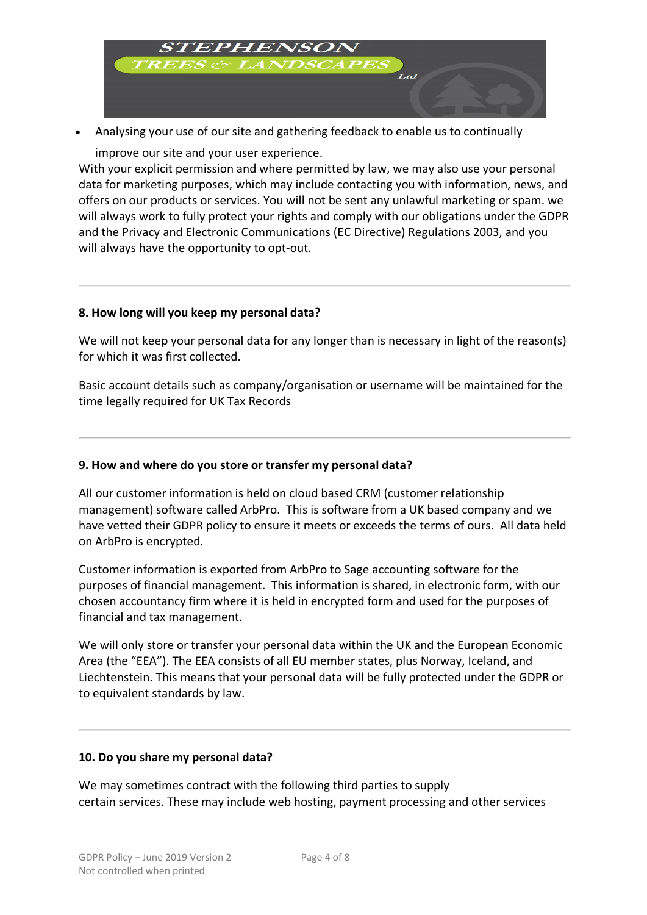

• Analysing your use of our site and gathering feedback to enable us to continually

improve our site and your user experience.

With your explicit permission and where permitted by law, we may also use your personal data for marketing purposes, which may include contacting you with information, news, and offers on our products or services. You will not be sent any unlawful marketing or spam. we will always work to fully protect your rights and comply with our obligations under the GDPR and the Privacy and Electronic Communications (EC Directive) Regulations 2003, and you will always have the opportunity to opt-out.

# **8. How long will you keep my personal data?**

We will not keep your personal data for any longer than is necessary in light of the reason(s) for which it was first collected.

Basic account details such as company/organisation or username will be maintained for the time legally required for UK Tax Records

# **9. How and where do you store or transfer my personal data?**

All our customer information is held on cloud based CRM (customer relationship management) software called ArbPro. This is software from a UK based company and we have vetted their GDPR policy to ensure it meets or exceeds the terms of ours. All data held on ArbPro is encrypted.

Customer information is exported from ArbPro to Sage accounting software for the purposes of financial management. This information is shared, in electronic form, with our chosen accountancy firm where it is held in encrypted form and used for the purposes of financial and tax management.

We will only store or transfer your personal data within the UK and the European Economic Area (the "EEA"). The EEA consists of all EU member states, plus Norway, Iceland, and Liechtenstein. This means that your personal data will be fully protected under the GDPR or to equivalent standards by law.

#### **10. Do you share my personal data?**

We may sometimes contract with the following third parties to supply certain services. These may include web hosting, payment processing and other services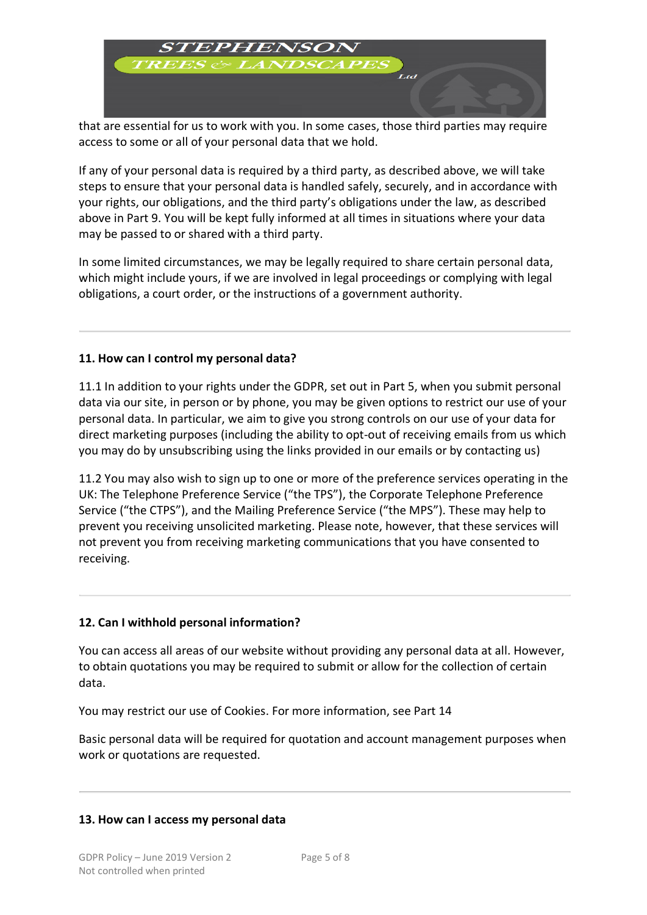

that are essential for us to work with you. In some cases, those third parties may require access to some or all of your personal data that we hold.

If any of your personal data is required by a third party, as described above, we will take steps to ensure that your personal data is handled safely, securely, and in accordance with your rights, our obligations, and the third party's obligations under the law, as described above in Part 9. You will be kept fully informed at all times in situations where your data may be passed to or shared with a third party.

In some limited circumstances, we may be legally required to share certain personal data, which might include yours, if we are involved in legal proceedings or complying with legal obligations, a court order, or the instructions of a government authority.

# **11. How can I control my personal data?**

11.1 In addition to your rights under the GDPR, set out in Part 5, when you submit personal data via our site, in person or by phone, you may be given options to restrict our use of your personal data. In particular, we aim to give you strong controls on our use of your data for direct marketing purposes (including the ability to opt-out of receiving emails from us which you may do by unsubscribing using the links provided in our emails or by contacting us)

11.2 You may also wish to sign up to one or more of the preference services operating in the UK: The Telephone Preference Service ("the TPS"), the Corporate Telephone Preference Service ("the CTPS"), and the Mailing Preference Service ("the MPS"). These may help to prevent you receiving unsolicited marketing. Please note, however, that these services will not prevent you from receiving marketing communications that you have consented to receiving.

#### **12. Can I withhold personal information?**

You can access all areas of our website without providing any personal data at all. However, to obtain quotations you may be required to submit or allow for the collection of certain data.

You may restrict our use of Cookies. For more information, see Part 14

Basic personal data will be required for quotation and account management purposes when work or quotations are requested.

#### **13. How can I access my personal data**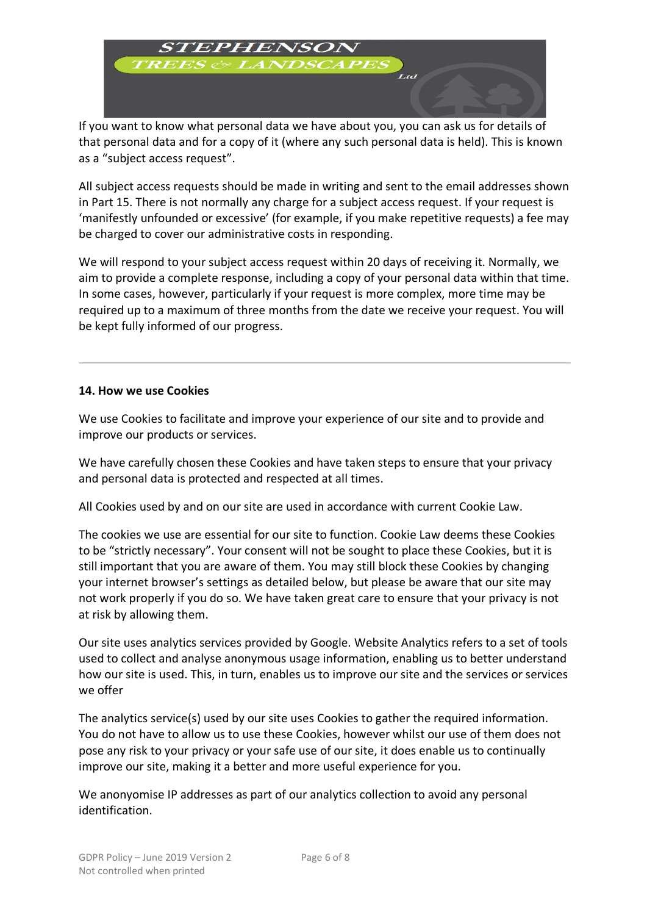

If you want to know what personal data we have about you, you can ask us for details of that personal data and for a copy of it (where any such personal data is held). This is known as a "subject access request".

All subject access requests should be made in writing and sent to the email addresses shown in Part 15. There is not normally any charge for a subject access request. If your request is 'manifestly unfounded or excessive' (for example, if you make repetitive requests) a fee may be charged to cover our administrative costs in responding.

We will respond to your subject access request within 20 days of receiving it. Normally, we aim to provide a complete response, including a copy of your personal data within that time. In some cases, however, particularly if your request is more complex, more time may be required up to a maximum of three months from the date we receive your request. You will be kept fully informed of our progress.

### **14. How we use Cookies**

We use Cookies to facilitate and improve your experience of our site and to provide and improve our products or services.

We have carefully chosen these Cookies and have taken steps to ensure that your privacy and personal data is protected and respected at all times.

All Cookies used by and on our site are used in accordance with current Cookie Law.

The cookies we use are essential for our site to function. Cookie Law deems these Cookies to be "strictly necessary". Your consent will not be sought to place these Cookies, but it is still important that you are aware of them. You may still block these Cookies by changing your internet browser's settings as detailed below, but please be aware that our site may not work properly if you do so. We have taken great care to ensure that your privacy is not at risk by allowing them.

Our site uses analytics services provided by Google. Website Analytics refers to a set of tools used to collect and analyse anonymous usage information, enabling us to better understand how our site is used. This, in turn, enables us to improve our site and the services or services we offer

The analytics service(s) used by our site uses Cookies to gather the required information. You do not have to allow us to use these Cookies, however whilst our use of them does not pose any risk to your privacy or your safe use of our site, it does enable us to continually improve our site, making it a better and more useful experience for you.

We anonyomise IP addresses as part of our analytics collection to avoid any personal identification.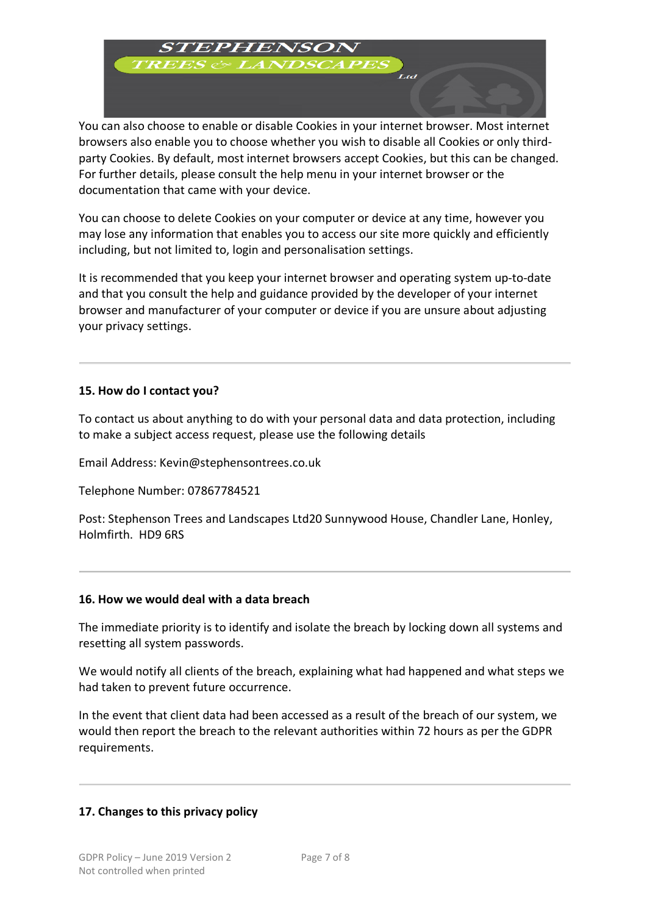

You can also choose to enable or disable Cookies in your internet browser. Most internet browsers also enable you to choose whether you wish to disable all Cookies or only thirdparty Cookies. By default, most internet browsers accept Cookies, but this can be changed. For further details, please consult the help menu in your internet browser or the documentation that came with your device.

You can choose to delete Cookies on your computer or device at any time, however you may lose any information that enables you to access our site more quickly and efficiently including, but not limited to, login and personalisation settings.

It is recommended that you keep your internet browser and operating system up-to-date and that you consult the help and guidance provided by the developer of your internet browser and manufacturer of your computer or device if you are unsure about adjusting your privacy settings.

# **15. How do I contact you?**

To contact us about anything to do with your personal data and data protection, including to make a subject access request, please use the following details

Email Address: Kevin@stephensontrees.co.uk

Telephone Number: 07867784521

Post: Stephenson Trees and Landscapes Ltd20 Sunnywood House, Chandler Lane, Honley, Holmfirth. HD9 6RS

# **16. How we would deal with a data breach**

The immediate priority is to identify and isolate the breach by locking down all systems and resetting all system passwords.

We would notify all clients of the breach, explaining what had happened and what steps we had taken to prevent future occurrence.

In the event that client data had been accessed as a result of the breach of our system, we would then report the breach to the relevant authorities within 72 hours as per the GDPR requirements.

# **17. Changes to this privacy policy**